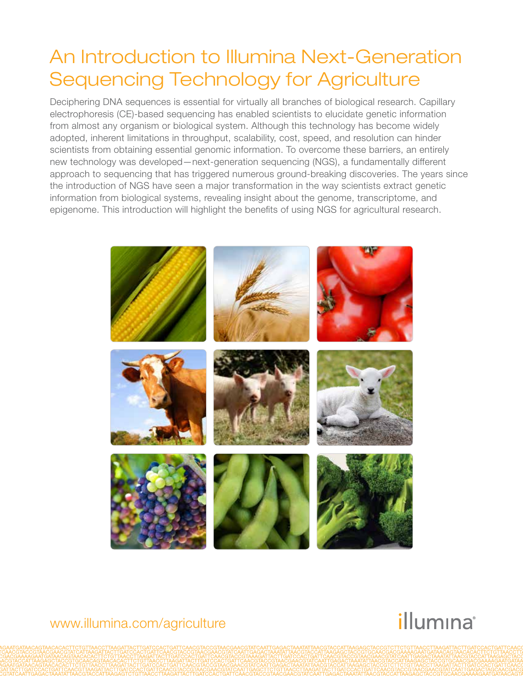# An Introduction to Illumina Next-Generation Sequencing Technology for Agriculture

Deciphering DNA sequences is essential for virtually all branches of biological research. Capillary electrophoresis (CE)-based sequencing has enabled scientists to elucidate genetic information from almost any organism or biological system. Although this technology has become widely adopted, inherent limitations in throughput, scalability, cost, speed, and resolution can hinder scientists from obtaining essential genomic information. To overcome these barriers, an entirely new technology was developed—next-generation sequencing (NGS), a fundamentally different approach to sequencing that has triggered numerous ground-breaking discoveries. The years since the introduction of NGS have seen a major transformation in the way scientists extract genetic information from biological systems, revealing insight about the genome, transcriptome, and epigenome. This introduction will highlight the benefits of using NGS for agricultural research.



# illumına

### www.illumina.com/agriculture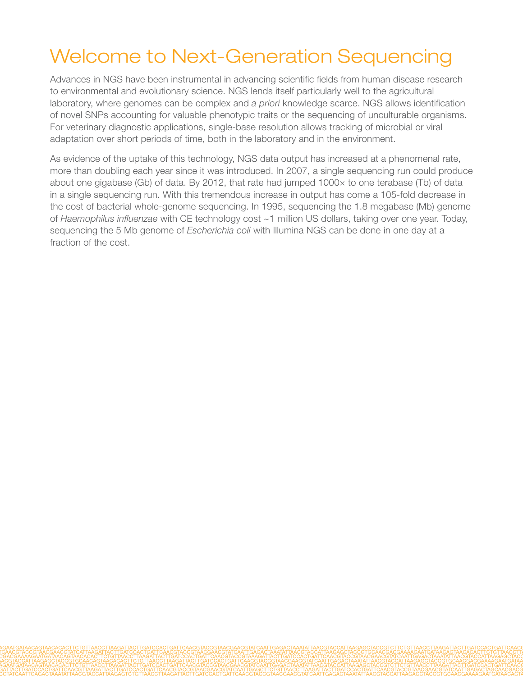# Welcome to Next-Generation Sequencing

Advances in NGS have been instrumental in advancing scientific fields from human disease research to environmental and evolutionary science. NGS lends itself particularly well to the agricultural laboratory, where genomes can be complex and *a priori* knowledge scarce. NGS allows identification of novel SNPs accounting for valuable phenotypic traits or the sequencing of unculturable organisms. For veterinary diagnostic applications, single-base resolution allows tracking of microbial or viral adaptation over short periods of time, both in the laboratory and in the environment.

As evidence of the uptake of this technology, NGS data output has increased at a phenomenal rate, more than doubling each year since it was introduced. In 2007, a single sequencing run could produce about one gigabase (Gb) of data. By 2012, that rate had jumped 1000x to one terabase (Tb) of data in a single sequencing run. With this tremendous increase in output has come a 105-fold decrease in the cost of bacterial whole-genome sequencing. In 1995, sequencing the 1.8 megabase (Mb) genome of *Haemophilus influenzae* with CE technology cost ~1 million US dollars, taking over one year. Today, sequencing the 5 Mb genome of *Escherichia coli* with Illumina NGS can be done in one day at a fraction of the cost.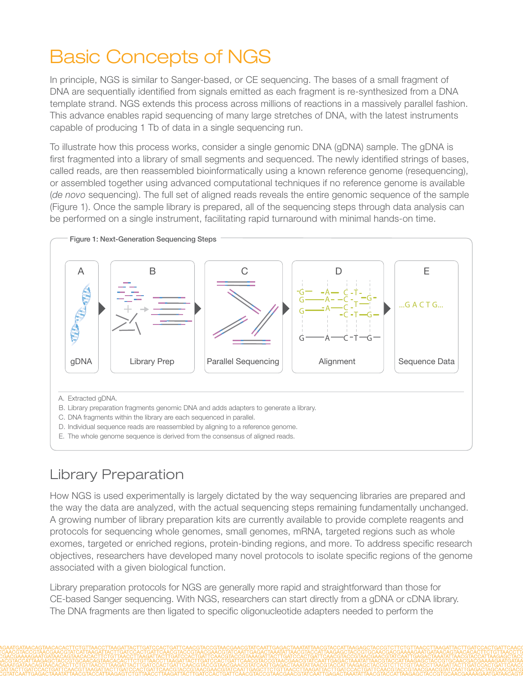# Basic Concepts of NGS

In principle, NGS is similar to Sanger-based, or CE sequencing. The bases of a small fragment of DNA are sequentially identified from signals emitted as each fragment is re-synthesized from a DNA template strand. NGS extends this process across millions of reactions in a massively parallel fashion. This advance enables rapid sequencing of many large stretches of DNA, with the latest instruments capable of producing 1 Tb of data in a single sequencing run.

To illustrate how this process works, consider a single genomic DNA (gDNA) sample. The gDNA is first fragmented into a library of small segments and sequenced. The newly identified strings of bases, called reads, are then reassembled bioinformatically using a known reference genome (resequencing), or assembled together using advanced computational techniques if no reference genome is available (*de novo* sequencing). The full set of aligned reads reveals the entire genomic sequence of the sample (Figure 1). Once the sample library is prepared, all of the sequencing steps through data analysis can be performed on a single instrument, facilitating rapid turnaround with minimal hands-on time.



## Library Preparation

How NGS is used experimentally is largely dictated by the way sequencing libraries are prepared and the way the data are analyzed, with the actual sequencing steps remaining fundamentally unchanged. A growing number of library preparation kits are currently available to provide complete reagents and protocols for sequencing whole genomes, small genomes, mRNA, targeted regions such as whole exomes, targeted or enriched regions, protein-binding regions, and more. To address specific research objectives, researchers have developed many novel protocols to isolate specific regions of the genome associated with a given biological function.

Library preparation protocols for NGS are generally more rapid and straightforward than those for CE-based Sanger sequencing. With NGS, researchers can start directly from a gDNA or cDNA library. The DNA fragments are then ligated to specific oligonucleotide adapters needed to perform the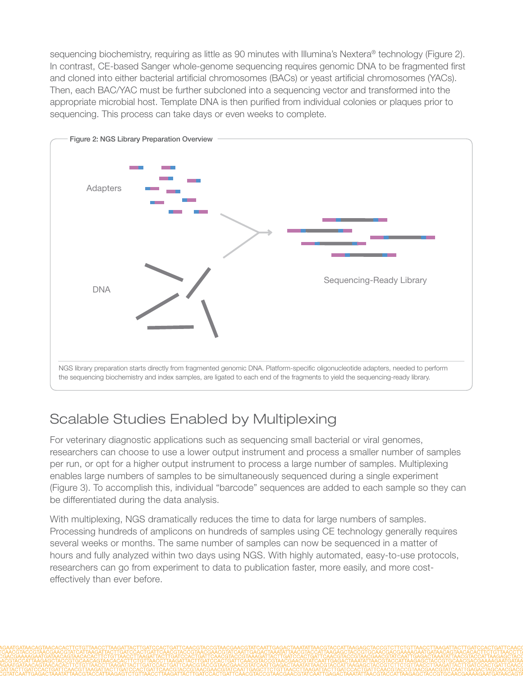sequencing biochemistry, requiring as little as 90 minutes with Illumina's Nextera® technology (Figure 2). In contrast, CE-based Sanger whole-genome sequencing requires genomic DNA to be fragmented first and cloned into either bacterial artificial chromosomes (BACs) or yeast artificial chromosomes (YACs). Then, each BAC/YAC must be further subcloned into a sequencing vector and transformed into the appropriate microbial host. Template DNA is then purified from individual colonies or plaques prior to sequencing. This process can take days or even weeks to complete.



# Scalable Studies Enabled by Multiplexing

For veterinary diagnostic applications such as sequencing small bacterial or viral genomes, researchers can choose to use a lower output instrument and process a smaller number of samples per run, or opt for a higher output instrument to process a large number of samples. Multiplexing enables large numbers of samples to be simultaneously sequenced during a single experiment (Figure 3). To accomplish this, individual "barcode" sequences are added to each sample so they can be differentiated during the data analysis.

With multiplexing, NGS dramatically reduces the time to data for large numbers of samples. Processing hundreds of amplicons on hundreds of samples using CE technology generally requires several weeks or months. The same number of samples can now be sequenced in a matter of hours and fully analyzed within two days using NGS. With highly automated, easy-to-use protocols, researchers can go from experiment to data to publication faster, more easily, and more costeffectively than ever before.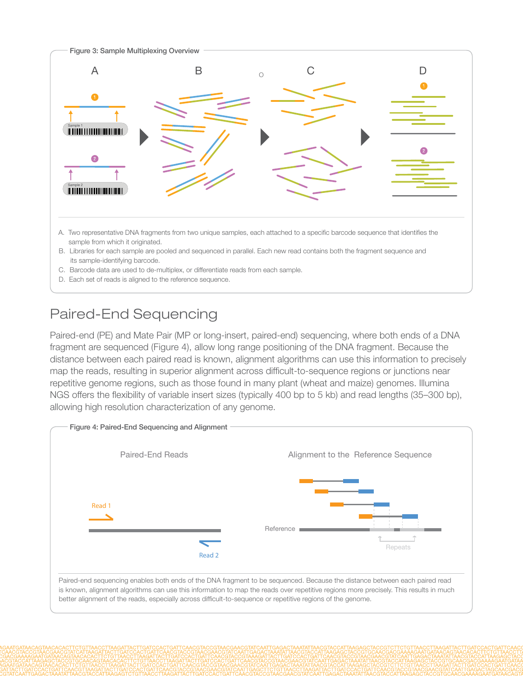

D. Each set of reads is aligned to the reference sequence.

# Paired-End Sequencing

Paired-end (PE) and Mate Pair (MP or long-insert, paired-end) sequencing, where both ends of a DNA fragment are sequenced (Figure 4), allow long range positioning of the DNA fragment. Because the distance between each paired read is known, alignment algorithms can use this information to precisely map the reads, resulting in superior alignment across difficult-to-sequence regions or junctions near repetitive genome regions, such as those found in many plant (wheat and maize) genomes. Illumina NGS offers the flexibility of variable insert sizes (typically 400 bp to 5 kb) and read lengths (35–300 bp), allowing high resolution characterization of any genome.

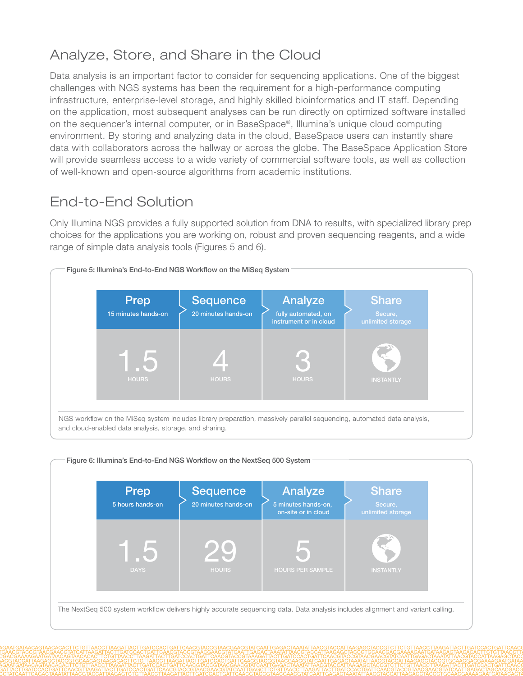# Analyze, Store, and Share in the Cloud

Data analysis is an important factor to consider for sequencing applications. One of the biggest challenges with NGS systems has been the requirement for a high-performance computing infrastructure, enterprise-level storage, and highly skilled bioinformatics and IT staff. Depending on the application, most subsequent analyses can be run directly on optimized software installed on the sequencer's internal computer, or in BaseSpace®, Illumina's unique cloud computing environment. By storing and analyzing data in the cloud, BaseSpace users can instantly share data with collaborators across the hallway or across the globe. The BaseSpace Application Store will provide seamless access to a wide variety of commercial software tools, as well as collection of well-known and open-source algorithms from academic institutions.

## End-to-End Solution

Only Illumina NGS provides a fully supported solution from DNA to results, with specialized library prep choices for the applications you are working on, robust and proven sequencing reagents, and a wide range of simple data analysis tools (Figures 5 and 6).



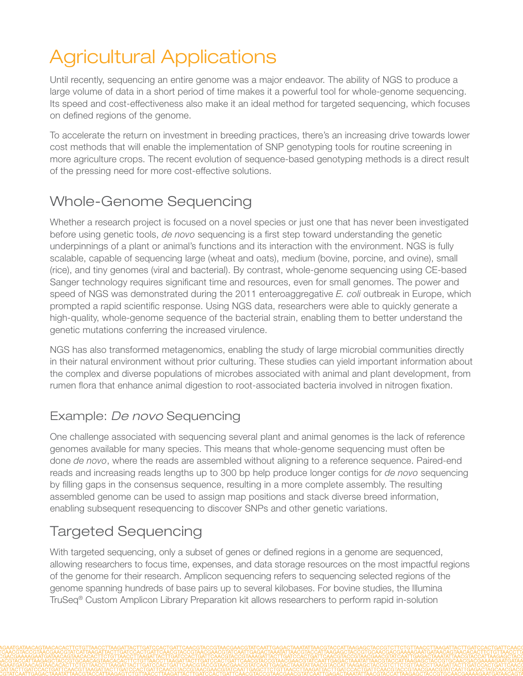# Agricultural Applications

Until recently, sequencing an entire genome was a major endeavor. The ability of NGS to produce a large volume of data in a short period of time makes it a powerful tool for whole-genome sequencing. Its speed and cost-effectiveness also make it an ideal method for targeted sequencing, which focuses on defined regions of the genome.

To accelerate the return on investment in breeding practices, there's an increasing drive towards lower cost methods that will enable the implementation of SNP genotyping tools for routine screening in more agriculture crops. The recent evolution of sequence-based genotyping methods is a direct result of the pressing need for more cost-effective solutions.

## Whole-Genome Sequencing

Whether a research project is focused on a novel species or just one that has never been investigated before using genetic tools, *de novo* sequencing is a first step toward understanding the genetic underpinnings of a plant or animal's functions and its interaction with the environment. NGS is fully scalable, capable of sequencing large (wheat and oats), medium (bovine, porcine, and ovine), small (rice), and tiny genomes (viral and bacterial). By contrast, whole-genome sequencing using CE-based Sanger technology requires significant time and resources, even for small genomes. The power and speed of NGS was demonstrated during the 2011 enteroaggregative *E. coli* outbreak in Europe, which prompted a rapid scientific response. Using NGS data, researchers were able to quickly generate a high-quality, whole-genome sequence of the bacterial strain, enabling them to better understand the genetic mutations conferring the increased virulence.

NGS has also transformed metagenomics, enabling the study of large microbial communities directly in their natural environment without prior culturing. These studies can yield important information about the complex and diverse populations of microbes associated with animal and plant development, from rumen flora that enhance animal digestion to root-associated bacteria involved in nitrogen fixation.

### Example: *De novo* Sequencing

One challenge associated with sequencing several plant and animal genomes is the lack of reference genomes available for many species. This means that whole-genome sequencing must often be done *de novo*, where the reads are assembled without aligning to a reference sequence. Paired-end reads and increasing reads lengths up to 300 bp help produce longer contigs for *de novo* sequencing by filling gaps in the consensus sequence, resulting in a more complete assembly. The resulting assembled genome can be used to assign map positions and stack diverse breed information, enabling subsequent resequencing to discover SNPs and other genetic variations.

# Targeted Sequencing

With targeted sequencing, only a subset of genes or defined regions in a genome are sequenced, allowing researchers to focus time, expenses, and data storage resources on the most impactful regions of the genome for their research. Amplicon sequencing refers to sequencing selected regions of the genome spanning hundreds of base pairs up to several kilobases. For bovine studies, the Illumina TruSeq® Custom Amplicon Library Preparation kit allows researchers to perform rapid in-solution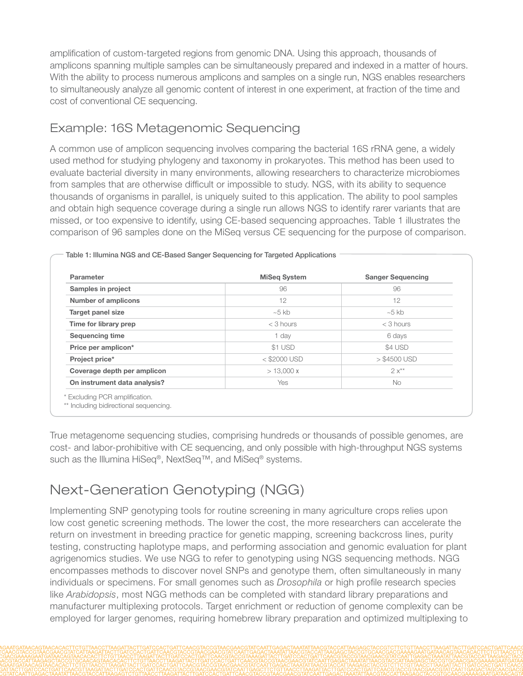amplification of custom-targeted regions from genomic DNA. Using this approach, thousands of amplicons spanning multiple samples can be simultaneously prepared and indexed in a matter of hours. With the ability to process numerous amplicons and samples on a single run, NGS enables researchers to simultaneously analyze all genomic content of interest in one experiment, at fraction of the time and cost of conventional CE sequencing.

### Example: 16S Metagenomic Sequencing

A common use of amplicon sequencing involves comparing the bacterial 16S rRNA gene, a widely used method for studying phylogeny and taxonomy in prokaryotes. This method has been used to evaluate bacterial diversity in many environments, allowing researchers to characterize microbiomes from samples that are otherwise difficult or impossible to study. NGS, with its ability to sequence thousands of organisms in parallel, is uniquely suited to this application. The ability to pool samples and obtain high sequence coverage during a single run allows NGS to identify rarer variants that are missed, or too expensive to identify, using CE-based sequencing approaches. Table 1 illustrates the comparison of 96 samples done on the MiSeq versus CE sequencing for the purpose of comparison.

| Parameter                    | <b>MiSeg System</b> | <b>Sanger Sequencing</b> |
|------------------------------|---------------------|--------------------------|
| Samples in project           | 96                  | 96                       |
| <b>Number of amplicons</b>   | 12                  | 12                       |
| <b>Target panel size</b>     | $~5$ kb             | $~10-5$ kb               |
| Time for library prep        | $<$ 3 hours         | $<$ 3 hours              |
| <b>Sequencing time</b>       | 1 day               | 6 days                   |
| Price per amplicon*          | \$1 USD             | \$4 USD                  |
| Project price*               | $<$ \$2000 USD      | $>$ \$4500 USD           |
| Coverage depth per amplicon  | > 13,000x           | $2x**$                   |
| On instrument data analysis? | Yes                 | <b>No</b>                |

Table 1: Illumina NGS and CE-Based Sanger Sequencing for Targeted Applications

True metagenome sequencing studies, comprising hundreds or thousands of possible genomes, are cost- and labor-prohibitive with CE sequencing, and only possible with high-throughput NGS systems such as the Illumina HiSeq®, NextSeq™, and MiSeq® systems.

# Next-Generation Genotyping (NGG)

Implementing SNP genotyping tools for routine screening in many agriculture crops relies upon low cost genetic screening methods. The lower the cost, the more researchers can accelerate the return on investment in breeding practice for genetic mapping, screening backcross lines, purity testing, constructing haplotype maps, and performing association and genomic evaluation for plant agrigenomics studies. We use NGG to refer to genotyping using NGS sequencing methods. NGG encompasses methods to discover novel SNPs and genotype them, often simultaneously in many individuals or specimens. For small genomes such as *Drosophila* or high profile research species like *Arabidopsis*, most NGG methods can be completed with standard library preparations and manufacturer multiplexing protocols. Target enrichment or reduction of genome complexity can be employed for larger genomes, requiring homebrew library preparation and optimized multiplexing to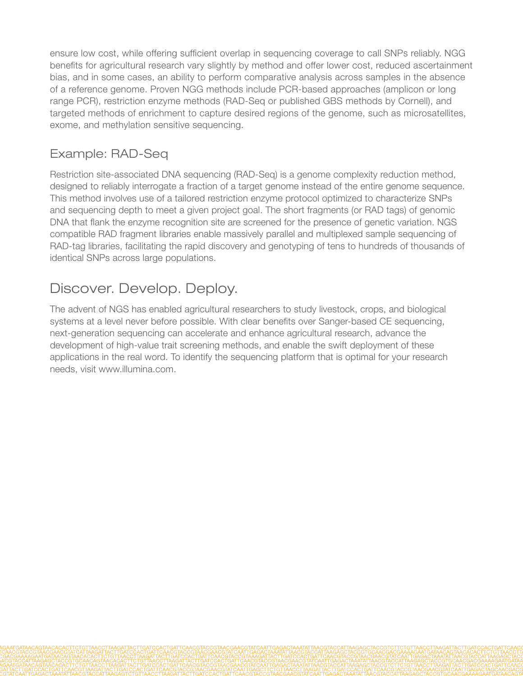ensure low cost, while offering sufficient overlap in sequencing coverage to call SNPs reliably. NGG benefits for agricultural research vary slightly by method and offer lower cost, reduced ascertainment bias, and in some cases, an ability to perform comparative analysis across samples in the absence of a reference genome. Proven NGG methods include PCR-based approaches (amplicon or long range PCR), restriction enzyme methods (RAD-Seq or published GBS methods by Cornell), and targeted methods of enrichment to capture desired regions of the genome, such as microsatellites, exome, and methylation sensitive sequencing.

### Example: RAD-Seq

Restriction site-associated DNA sequencing (RAD-Seq) is a genome complexity reduction method, designed to reliably interrogate a fraction of a target genome instead of the entire genome sequence. This method involves use of a tailored restriction enzyme protocol optimized to characterize SNPs and sequencing depth to meet a given project goal. The short fragments (or RAD tags) of genomic DNA that flank the enzyme recognition site are screened for the presence of genetic variation. NGS compatible RAD fragment libraries enable massively parallel and multiplexed sample sequencing of RAD-tag libraries, facilitating the rapid discovery and genotyping of tens to hundreds of thousands of identical SNPs across large populations.

# Discover. Develop. Deploy.

The advent of NGS has enabled agricultural researchers to study livestock, crops, and biological systems at a level never before possible. With clear benefits over Sanger-based CE sequencing, next-generation sequencing can accelerate and enhance agricultural research, advance the development of high-value trait screening methods, and enable the swift deployment of these applications in the real word. To identify the sequencing platform that is optimal for your research needs, visit www.illumina.com.